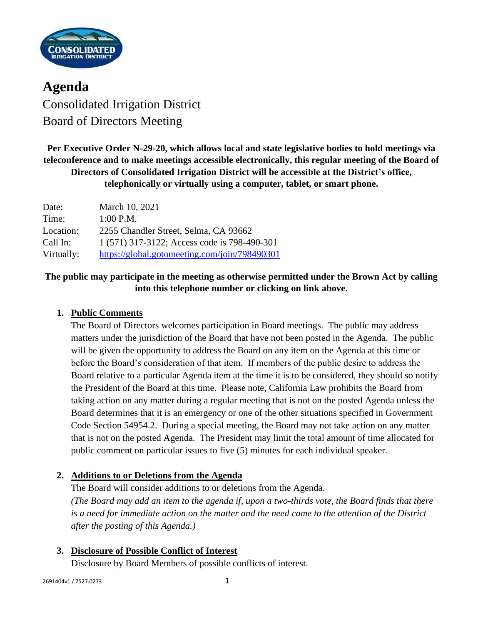

**Agenda** Consolidated Irrigation District Board of Directors Meeting

**Per Executive Order N-29-20, which allows local and state legislative bodies to hold meetings via teleconference and to make meetings accessible electronically, this regular meeting of the Board of Directors of Consolidated Irrigation District will be accessible at the District's office, telephonically or virtually using a computer, tablet, or smart phone.**

| Date:      | March 10, 2021                                |
|------------|-----------------------------------------------|
| Time:      | $1:00$ P.M.                                   |
| Location:  | 2255 Chandler Street, Selma, CA 93662         |
| Call In:   | 1 (571) 317-3122; Access code is 798-490-301  |
| Virtually: | https://global.gotomeeting.com/join/798490301 |

# **The public may participate in the meeting as otherwise permitted under the Brown Act by calling into this telephone number or clicking on link above.**

# **1. Public Comments**

The Board of Directors welcomes participation in Board meetings. The public may address matters under the jurisdiction of the Board that have not been posted in the Agenda. The public will be given the opportunity to address the Board on any item on the Agenda at this time or before the Board's consideration of that item. If members of the public desire to address the Board relative to a particular Agenda item at the time it is to be considered, they should so notify the President of the Board at this time. Please note, California Law prohibits the Board from taking action on any matter during a regular meeting that is not on the posted Agenda unless the Board determines that it is an emergency or one of the other situations specified in Government Code Section 54954.2. During a special meeting, the Board may not take action on any matter that is not on the posted Agenda. The President may limit the total amount of time allocated for public comment on particular issues to five (5) minutes for each individual speaker.

# **2. Additions to or Deletions from the Agenda**

The Board will consider additions to or deletions from the Agenda. *(The Board may add an item to the agenda if, upon a two-thirds vote, the Board finds that there is a need for immediate action on the matter and the need came to the attention of the District after the posting of this Agenda.)*

# **3. Disclosure of Possible Conflict of Interest**

Disclosure by Board Members of possible conflicts of interest.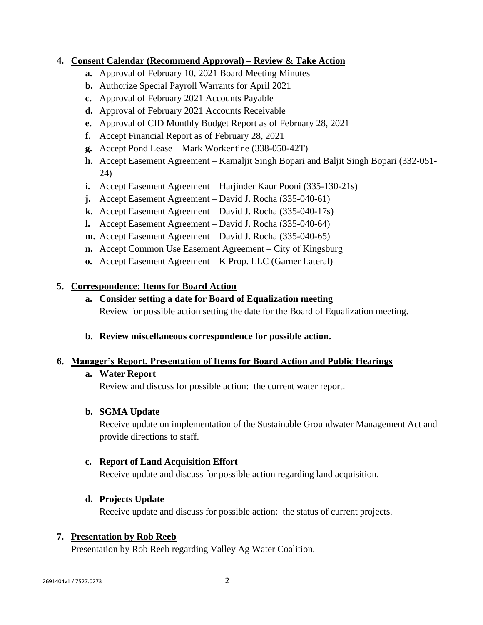# **4. Consent Calendar (Recommend Approval) – Review & Take Action**

- **a.** Approval of February 10, 2021 Board Meeting Minutes
- **b.** Authorize Special Payroll Warrants for April 2021
- **c.** Approval of February 2021 Accounts Payable
- **d.** Approval of February 2021 Accounts Receivable
- **e.** Approval of CID Monthly Budget Report as of February 28, 2021
- **f.** Accept Financial Report as of February 28, 2021
- **g.** Accept Pond Lease Mark Workentine (338-050-42T)
- **h.** Accept Easement Agreement Kamaljit Singh Bopari and Baljit Singh Bopari (332-051- 24)
- **i.** Accept Easement Agreement Harjinder Kaur Pooni (335-130-21s)
- **j.** Accept Easement Agreement David J. Rocha (335-040-61)
- **k.** Accept Easement Agreement David J. Rocha (335-040-17s)
- **l.** Accept Easement Agreement David J. Rocha (335-040-64)
- **m.** Accept Easement Agreement David J. Rocha (335-040-65)
- **n.** Accept Common Use Easement Agreement City of Kingsburg
- **o.** Accept Easement Agreement K Prop. LLC (Garner Lateral)

# **5. Correspondence: Items for Board Action**

- **a. Consider setting a date for Board of Equalization meeting** Review for possible action setting the date for the Board of Equalization meeting.
- **b. Review miscellaneous correspondence for possible action.**

# **6. Manager's Report, Presentation of Items for Board Action and Public Hearings**

# **a. Water Report**

Review and discuss for possible action: the current water report.

# **b. SGMA Update**

Receive update on implementation of the Sustainable Groundwater Management Act and provide directions to staff.

### **c. Report of Land Acquisition Effort**

Receive update and discuss for possible action regarding land acquisition.

# **d. Projects Update**

Receive update and discuss for possible action: the status of current projects.

# **7. Presentation by Rob Reeb**

Presentation by Rob Reeb regarding Valley Ag Water Coalition.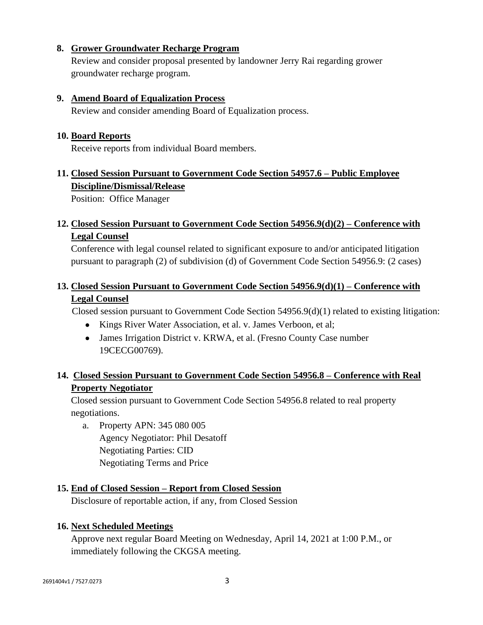## **8. Grower Groundwater Recharge Program**

Review and consider proposal presented by landowner Jerry Rai regarding grower groundwater recharge program.

### **9. Amend Board of Equalization Process**

Review and consider amending Board of Equalization process.

### **10. Board Reports**

Receive reports from individual Board members.

# **11. Closed Session Pursuant to Government Code Section 54957.6 – Public Employee Discipline/Dismissal/Release**

Position: Office Manager

# **12. Closed Session Pursuant to Government Code Section 54956.9(d)(2) – Conference with Legal Counsel**

Conference with legal counsel related to significant exposure to and/or anticipated litigation pursuant to paragraph (2) of subdivision (d) of Government Code Section 54956.9: (2 cases)

# **13. Closed Session Pursuant to Government Code Section 54956.9(d)(1) – Conference with Legal Counsel**

Closed session pursuant to Government Code Section 54956.9(d)(1) related to existing litigation:

- Kings River Water Association, et al. v. James Verboon, et al;
- James Irrigation District v. KRWA, et al. (Fresno County Case number 19CECG00769).

# **14. Closed Session Pursuant to Government Code Section 54956.8 – Conference with Real Property Negotiator**

Closed session pursuant to Government Code Section 54956.8 related to real property negotiations.

a. Property APN: 345 080 005 Agency Negotiator: Phil Desatoff Negotiating Parties: CID Negotiating Terms and Price

### **15. End of Closed Session – Report from Closed Session**

Disclosure of reportable action, if any, from Closed Session

### **16. Next Scheduled Meetings**

Approve next regular Board Meeting on Wednesday, April 14, 2021 at 1:00 P.M., or immediately following the CKGSA meeting.